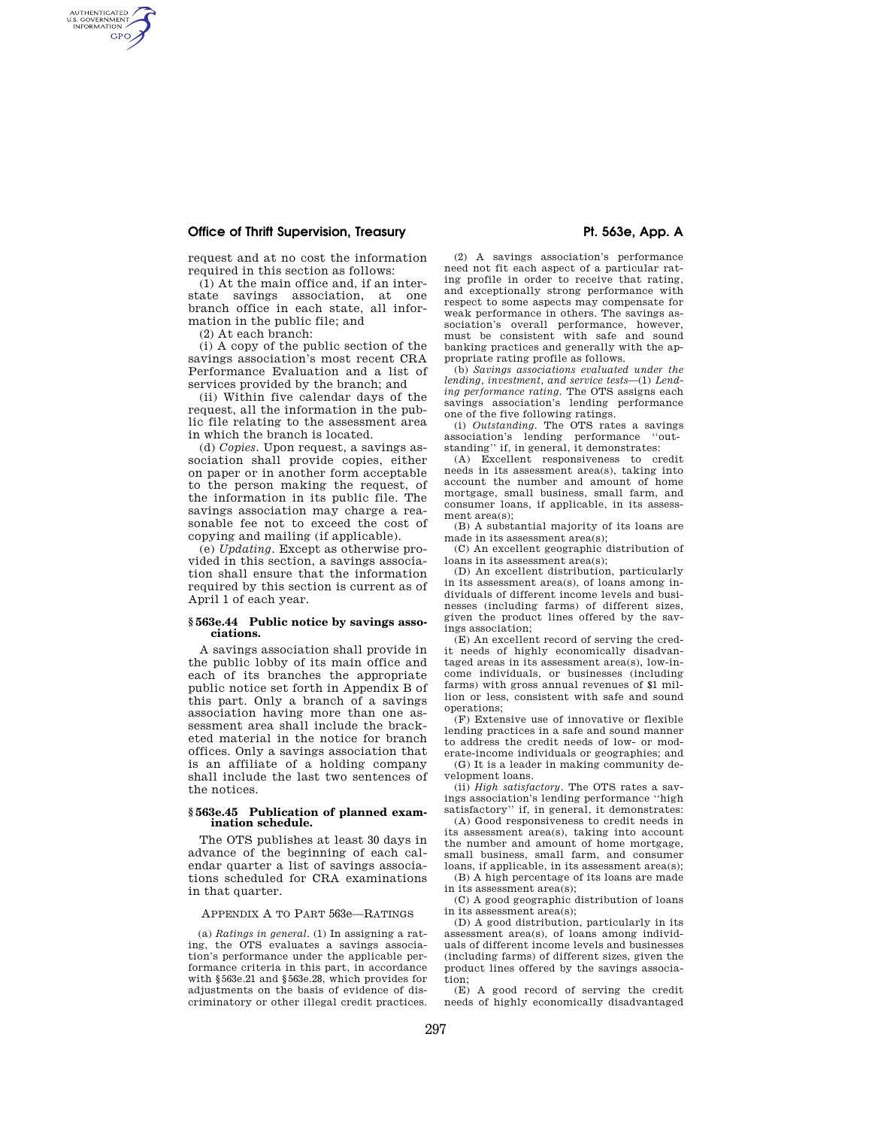# **Office of Thrift Supervision, Treasury Pt. 563e, App. A**

request and at no cost the information required in this section as follows:

(1) At the main office and, if an interstate savings association, at one branch office in each state, all information in the public file; and

(2) At each branch:

AUTHENTICATED<br>U.S. GOVERNMENT<br>INFORMATION **GPO** 

> (i) A copy of the public section of the savings association's most recent CRA Performance Evaluation and a list of services provided by the branch; and

> (ii) Within five calendar days of the request, all the information in the public file relating to the assessment area in which the branch is located.

> (d) *Copies.* Upon request, a savings association shall provide copies, either on paper or in another form acceptable to the person making the request, of the information in its public file. The savings association may charge a reasonable fee not to exceed the cost of copying and mailing (if applicable).

> (e) *Updating.* Except as otherwise provided in this section, a savings association shall ensure that the information required by this section is current as of April 1 of each year.

## **§ 563e.44 Public notice by savings associations.**

A savings association shall provide in the public lobby of its main office and each of its branches the appropriate public notice set forth in Appendix B of this part. Only a branch of a savings association having more than one assessment area shall include the bracketed material in the notice for branch offices. Only a savings association that is an affiliate of a holding company shall include the last two sentences of the notices.

### **§ 563e.45 Publication of planned examination schedule.**

The OTS publishes at least 30 days in advance of the beginning of each calendar quarter a list of savings associations scheduled for CRA examinations in that quarter.

### APPENDIX A TO PART 563e—RATINGS

(a) *Ratings in general.* (1) In assigning a rating, the OTS evaluates a savings association's performance under the applicable performance criteria in this part, in accordance with §563e.21 and §563e.28, which provides for adjustments on the basis of evidence of discriminatory or other illegal credit practices.

(2) A savings association's performance need not fit each aspect of a particular rating profile in order to receive that rating, and exceptionally strong performance with respect to some aspects may compensate for weak performance in others. The savings association's overall performance, however, must be consistent with safe and sound banking practices and generally with the appropriate rating profile as follows.

(b) *Savings associations evaluated under the lending, investment, and service tests*—(1) *Lending performance rating.* The OTS assigns each savings association's lending performance one of the five following ratings.

(i) *Outstanding*. The OTS rates a savings<br>ssociation's lending performance "outassociation's lending performance ''out-standing'' if, in general, it demonstrates:

(A) Excellent responsiveness to credit needs in its assessment area(s), taking into account the number and amount of home mortgage, small business, small farm, and consumer loans, if applicable, in its assessment area(s);

(B) A substantial majority of its loans are made in its assessment area(s);

(C) An excellent geographic distribution of loans in its assessment area(s);

(D) An excellent distribution, particularly in its assessment area(s), of loans among individuals of different income levels and businesses (including farms) of different sizes, given the product lines offered by the savings association;

(E) An excellent record of serving the credit needs of highly economically disadvantaged areas in its assessment area(s), low-income individuals, or businesses (including farms) with gross annual revenues of \$1 million or less, consistent with safe and sound operations;

(F) Extensive use of innovative or flexible lending practices in a safe and sound manner to address the credit needs of low- or mod-

erate-income individuals or geographies; and (G) It is a leader in making community development loans.

(ii) *High satisfactory.* The OTS rates a savings association's lending performance ''high satisfactory'' if, in general, it demonstrates:

(A) Good responsiveness to credit needs in its assessment area(s), taking into account the number and amount of home mortgage, small business, small farm, and consumer

loans, if applicable, in its assessment area(s); (B) A high percentage of its loans are made in its assessment area(s);

(C) A good geographic distribution of loans in its assessment area(s);

(D) A good distribution, particularly in its assessment area(s), of loans among individuals of different income levels and businesses (including farms) of different sizes, given the product lines offered by the savings association;

(E) A good record of serving the credit needs of highly economically disadvantaged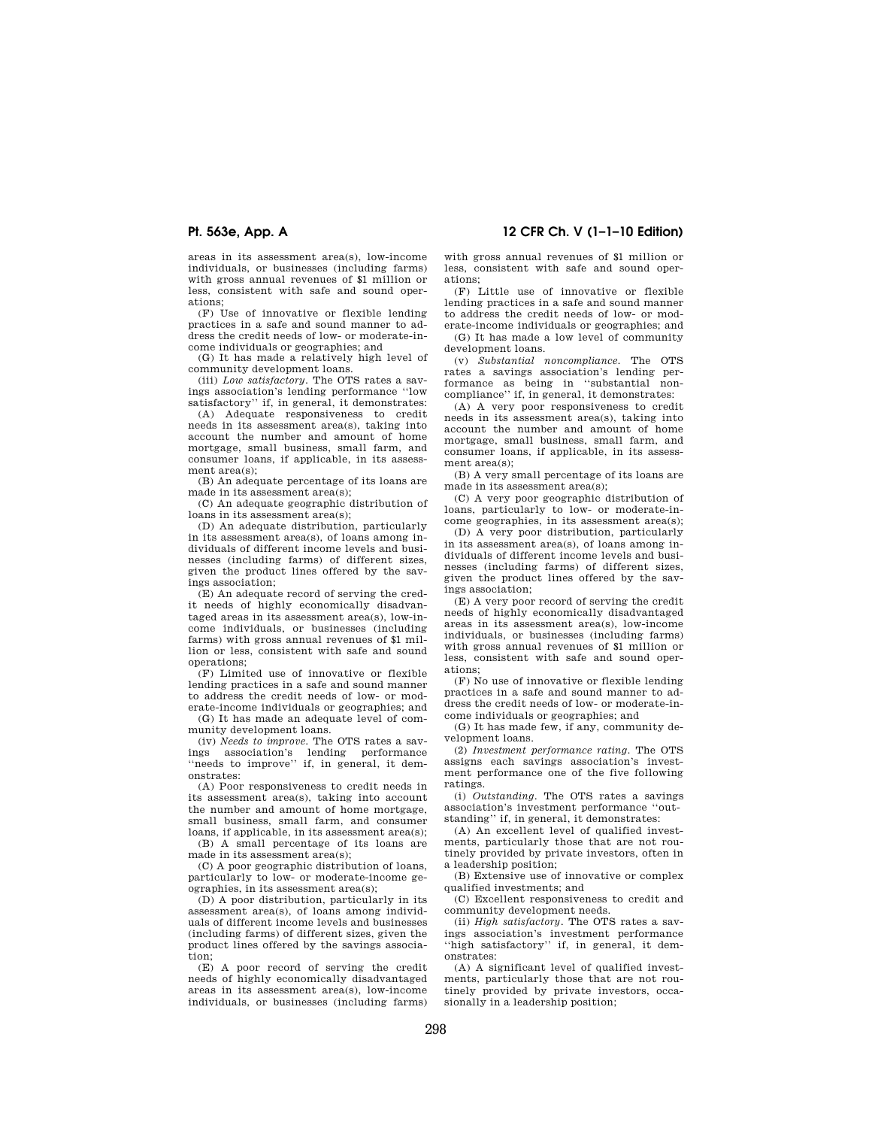areas in its assessment area(s), low-income individuals, or businesses (including farms) with gross annual revenues of \$1 million or less, consistent with safe and sound operations;

(F) Use of innovative or flexible lending practices in a safe and sound manner to address the credit needs of low- or moderate-income individuals or geographies; and

(G) It has made a relatively high level of community development loans.

(iii) *Low satisfactory.* The OTS rates a savings association's lending performance ''low satisfactory'' if, in general, it demonstrates:

(A) Adequate responsiveness to credit needs in its assessment area(s), taking into account the number and amount of home mortgage, small business, small farm, and consumer loans, if applicable, in its assessment area(s);

(B) An adequate percentage of its loans are made in its assessment area(s);

(C) An adequate geographic distribution of loans in its assessment area(s);

(D) An adequate distribution, particularly in its assessment area(s), of loans among individuals of different income levels and businesses (including farms) of different sizes, given the product lines offered by the savings association;

(E) An adequate record of serving the credit needs of highly economically disadvantaged areas in its assessment area(s), low-income individuals, or businesses (including farms) with gross annual revenues of \$1 million or less, consistent with safe and sound operations;

(F) Limited use of innovative or flexible lending practices in a safe and sound manner to address the credit needs of low- or moderate-income individuals or geographies; and

(G) It has made an adequate level of community development loans.

(iv) *Needs to improve.* The OTS rates a savings association's lending performance "needs to improve" if, in general, it demonstrates:

(A) Poor responsiveness to credit needs in its assessment area(s), taking into account the number and amount of home mortgage, small business, small farm, and consumer loans, if applicable, in its assessment area(s);

(B) A small percentage of its loans are made in its assessment area(s);

(C) A poor geographic distribution of loans, particularly to low- or moderate-income geographies, in its assessment area(s);

(D) A poor distribution, particularly in its assessment area(s), of loans among individuals of different income levels and businesses (including farms) of different sizes, given the product lines offered by the savings association;

(E) A poor record of serving the credit needs of highly economically disadvantaged areas in its assessment area(s), low-income individuals, or businesses (including farms)

**Pt. 563e, App. A 12 CFR Ch. V (1–1–10 Edition)** 

with gross annual revenues of \$1 million or less, consistent with safe and sound operations;

(F) Little use of innovative or flexible lending practices in a safe and sound manner to address the credit needs of low- or moderate-income individuals or geographies; and

(G) It has made a low level of community development loans.

(v) *Substantial noncompliance.* The OTS rates a savings association's lending performance as being in ''substantial noncompliance'' if, in general, it demonstrates:

(A) A very poor responsiveness to credit needs in its assessment area(s), taking into account the number and amount of home mortgage, small business, small farm, and consumer loans, if applicable, in its assessment area(s);

(B) A very small percentage of its loans are made in its assessment area(s);

(C) A very poor geographic distribution of loans, particularly to low- or moderate-income geographies, in its assessment area(s);

(D) A very poor distribution, particularly in its assessment area(s), of loans among individuals of different income levels and businesses (including farms) of different sizes, given the product lines offered by the savings association;

(E) A very poor record of serving the credit needs of highly economically disadvantaged areas in its assessment area(s), low-income individuals, or businesses (including farms) with gross annual revenues of \$1 million or less, consistent with safe and sound operations;

(F) No use of innovative or flexible lending practices in a safe and sound manner to address the credit needs of low- or moderate-income individuals or geographies; and

(G) It has made few, if any, community development loans.

(2) *Investment performance rating.* The OTS assigns each savings association's investment performance one of the five following ratings.

(i) *Outstanding.* The OTS rates a savings association's investment performance ''outstanding'' if, in general, it demonstrates:

(A) An excellent level of qualified investments, particularly those that are not routinely provided by private investors, often in a leadership position;

(B) Extensive use of innovative or complex qualified investments; and

(C) Excellent responsiveness to credit and community development needs.

(ii) *High satisfactory.* The OTS rates a savings association's investment performance ''high satisfactory'' if, in general, it demonstrates:

(A) A significant level of qualified investments, particularly those that are not routinely provided by private investors, occasionally in a leadership position;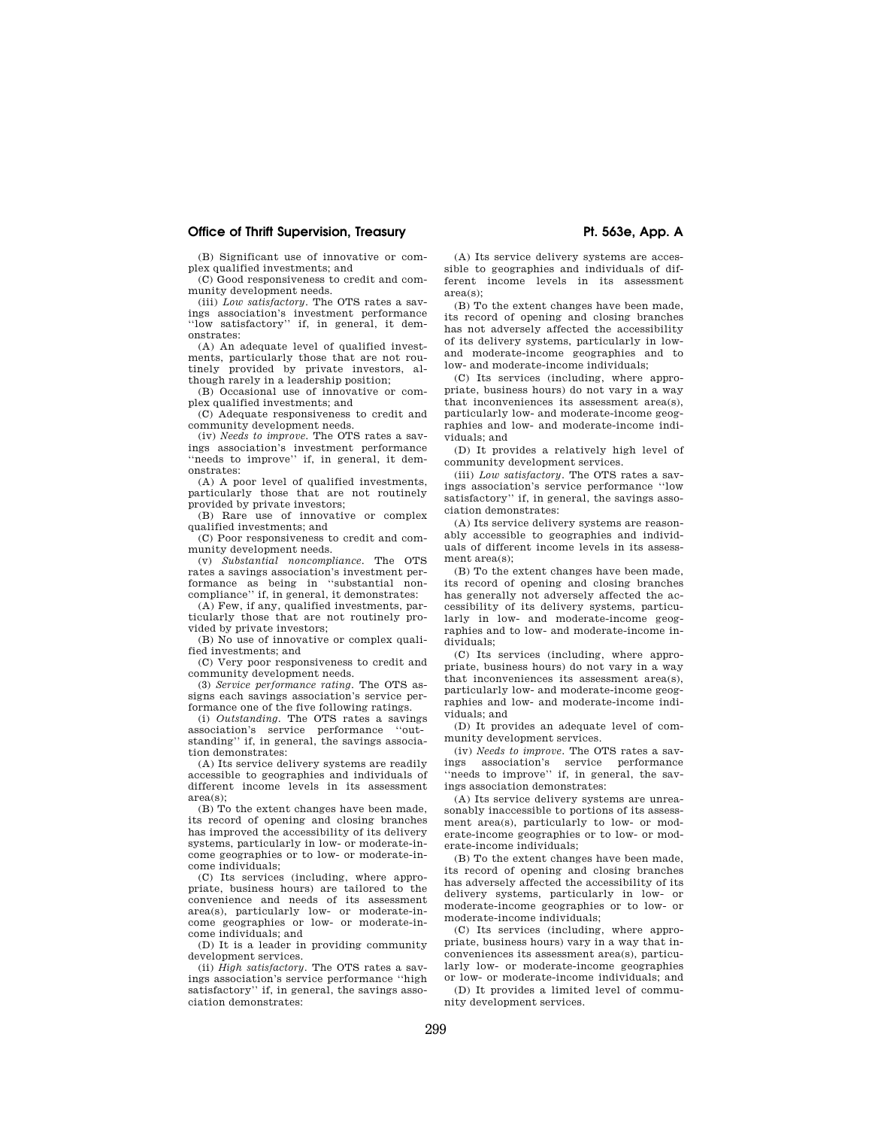# **Office of Thrift Supervision, Treasury Pt. 563e, App. A**

(B) Significant use of innovative or complex qualified investments; and

(C) Good responsiveness to credit and community development needs.

(iii) *Low satisfactory.* The OTS rates a savings association's investment performance ''low satisfactory'' if, in general, it demonstrates:

(A) An adequate level of qualified investments, particularly those that are not routinely provided by private investors, although rarely in a leadership position;

(B) Occasional use of innovative or complex qualified investments; and

(C) Adequate responsiveness to credit and community development needs.

(iv) *Needs to improve.* The OTS rates a savings association's investment performance "needs to improve" if, in general, it demonstrates:

(A) A poor level of qualified investments, particularly those that are not routinely provided by private investors;

(B) Rare use of innovative or complex qualified investments; and

(C) Poor responsiveness to credit and community development needs.

(v) *Substantial noncompliance.* The OTS rates a savings association's investment performance as being in ''substantial noncompliance'' if, in general, it demonstrates:

(A) Few, if any, qualified investments, particularly those that are not routinely pro-

vided by private investors; (B) No use of innovative or complex quali-

fied investments; and

(C) Very poor responsiveness to credit and community development needs.

(3) *Service performance rating.* The OTS assigns each savings association's service performance one of the five following ratings.

(i) *Outstanding.* The OTS rates a savings association's service performance ''outstanding'' if, in general, the savings association demonstrates:

(A) Its service delivery systems are readily accessible to geographies and individuals of different income levels in its assessment area(s);

(B) To the extent changes have been made, its record of opening and closing branches has improved the accessibility of its delivery systems, particularly in low- or moderate-income geographies or to low- or moderate-income individuals;

(C) Its services (including, where appropriate, business hours) are tailored to the convenience and needs of its assessment area(s), particularly low- or moderate-income geographies or low- or moderate-income individuals; and

(D) It is a leader in providing community development services.

(ii) *High satisfactory.* The OTS rates a savings association's service performance ''high satisfactory'' if, in general, the savings association demonstrates:

(A) Its service delivery systems are accessible to geographies and individuals of different income levels in its assessment area(s);

(B) To the extent changes have been made, its record of opening and closing branches has not adversely affected the accessibility of its delivery systems, particularly in lowand moderate-income geographies and to low- and moderate-income individuals;

(C) Its services (including, where appropriate, business hours) do not vary in a way that inconveniences its assessment area(s), particularly low- and moderate-income geographies and low- and moderate-income individuals; and

(D) It provides a relatively high level of community development services.

(iii) *Low satisfactory.* The OTS rates a savings association's service performance ''low satisfactory'' if, in general, the savings association demonstrates:

(A) Its service delivery systems are reasonably accessible to geographies and individuals of different income levels in its assessment area(s);

(B) To the extent changes have been made, its record of opening and closing branches has generally not adversely affected the accessibility of its delivery systems, particularly in low- and moderate-income geographies and to low- and moderate-income individuals;

(C) Its services (including, where appropriate, business hours) do not vary in a way that inconveniences its assessment area(s), particularly low- and moderate-income geographies and low- and moderate-income individuals; and

(D) It provides an adequate level of community development services.

(iv) *Needs to improve.* The OTS rates a savings association's service performance "needs to improve" if, in general, the savings association demonstrates:

(A) Its service delivery systems are unreasonably inaccessible to portions of its assessment area(s), particularly to low- or moderate-income geographies or to low- or moderate-income individuals;

(B) To the extent changes have been made, its record of opening and closing branches has adversely affected the accessibility of its delivery systems, particularly in low- or moderate-income geographies or to low- or moderate-income individuals;

 $(C)$  Its services (including, where appropriate, business hours) vary in a way that inconveniences its assessment area(s), particularly low- or moderate-income geographies or low- or moderate-income individuals; and

(D) It provides a limited level of community development services.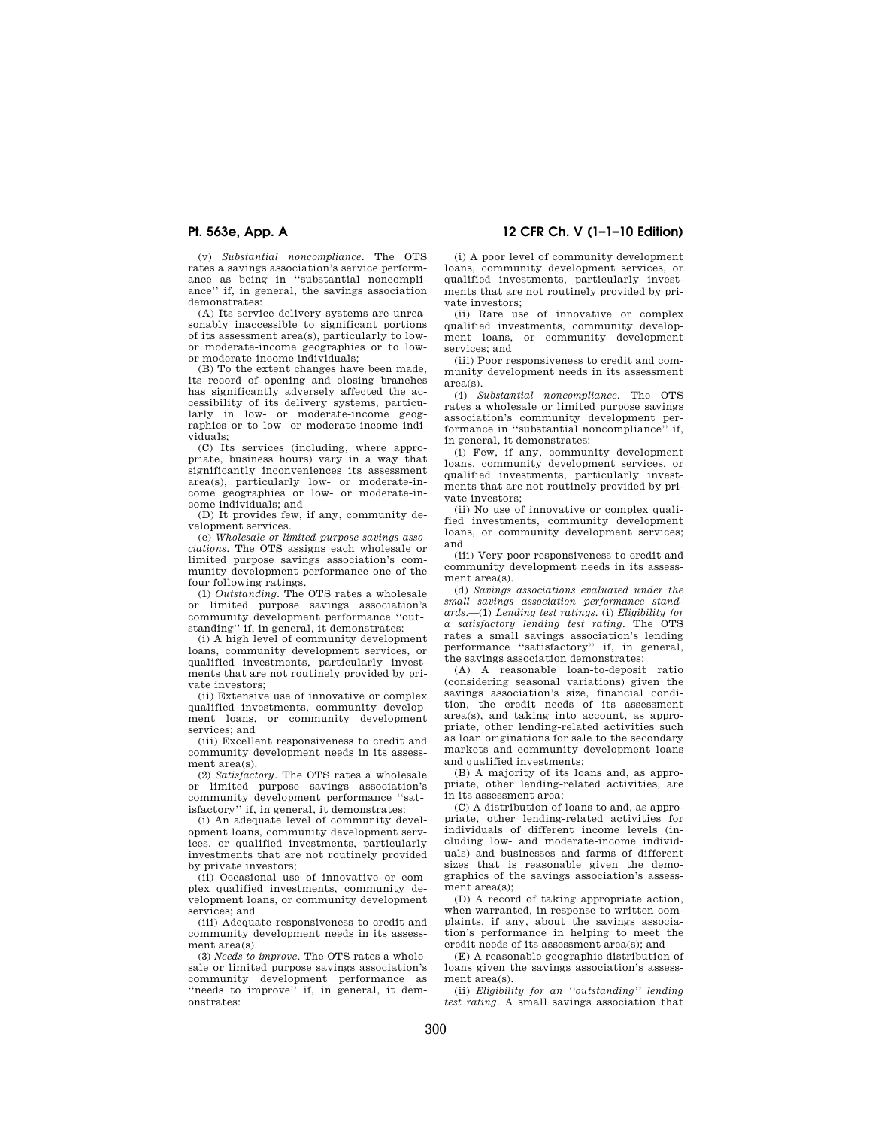**Pt. 563e, App. A 12 CFR Ch. V (1–1–10 Edition)** 

(v) *Substantial noncompliance.* The OTS rates a savings association's service performance as being in ''substantial noncompliance'' if, in general, the savings association demonstrates:

(A) Its service delivery systems are unreasonably inaccessible to significant portions of its assessment area(s), particularly to lowor moderate-income geographies or to lowor moderate-income individuals;

(B) To the extent changes have been made, its record of opening and closing branches has significantly adversely affected the accessibility of its delivery systems, particularly in low- or moderate-income geographies or to low- or moderate-income individuals;

(C) Its services (including, where appropriate, business hours) vary in a way that significantly inconveniences its assessment area(s), particularly low- or moderate-income geographies or low- or moderate-income individuals; and

(D) It provides few, if any, community development services.

(c) *Wholesale or limited purpose savings associations.* The OTS assigns each wholesale or limited purpose savings association's community development performance one of the four following ratings.

(1) *Outstanding.* The OTS rates a wholesale or limited purpose savings association's community development performance ''outstanding'' if, in general, it demonstrates:

(i) A high level of community development loans, community development services, or qualified investments, particularly investments that are not routinely provided by private investors;

(ii) Extensive use of innovative or complex qualified investments, community development loans, or community development services; and

(iii) Excellent responsiveness to credit and community development needs in its assessment area(s).

(2) *Satisfactory.* The OTS rates a wholesale or limited purpose savings association's community development performance ''satisfactory'' if, in general, it demonstrates:

(i) An adequate level of community development loans, community development services, or qualified investments, particularly investments that are not routinely provided by private investors;

(ii) Occasional use of innovative or complex qualified investments, community development loans, or community development services; and

(iii) Adequate responsiveness to credit and community development needs in its assessment area(s).

(3) *Needs to improve.* The OTS rates a wholesale or limited purpose savings association's community development performance as "needs to improve" if, in general, it demonstrates:

(i) A poor level of community development loans, community development services, or qualified investments, particularly investments that are not routinely provided by private investors;

(ii) Rare use of innovative or complex qualified investments, community development loans, or community development services; and

(iii) Poor responsiveness to credit and community development needs in its assessment area(s).

(4) *Substantial noncompliance.* The OTS rates a wholesale or limited purpose savings association's community development performance in "substantial noncompliance" in general, it demonstrates:

(i) Few, if any, community development loans, community development services, or qualified investments, particularly investments that are not routinely provided by private investors;

(ii) No use of innovative or complex qualified investments, community development loans, or community development services; and

(iii) Very poor responsiveness to credit and community development needs in its assessment area(s).

(d) *Savings associations evaluated under the small savings association performance standards*.—(1) *Lending test ratings*. (i) *Eligibility for a satisfactory lending test rating*. The OTS rates a small savings association's lending performance ''satisfactory'' if, in general, the savings association demonstrates:

(A) A reasonable loan-to-deposit ratio (considering seasonal variations) given the savings association's size, financial condition, the credit needs of its assessment area(s), and taking into account, as appropriate, other lending-related activities such as loan originations for sale to the secondary markets and community development loans and qualified investments;

(B) A majority of its loans and, as appropriate, other lending-related activities, are in its assessment area;

(C) A distribution of loans to and, as appropriate, other lending-related activities for individuals of different income levels (including low- and moderate-income individuals) and businesses and farms of different sizes that is reasonable given the demographics of the savings association's assessment area(s);

(D) A record of taking appropriate action, when warranted, in response to written complaints, if any, about the savings association's performance in helping to meet the credit needs of its assessment area(s); and

(E) A reasonable geographic distribution of loans given the savings association's assessment area(s).

(ii) *Eligibility for an ''outstanding'' lending test rating.* A small savings association that